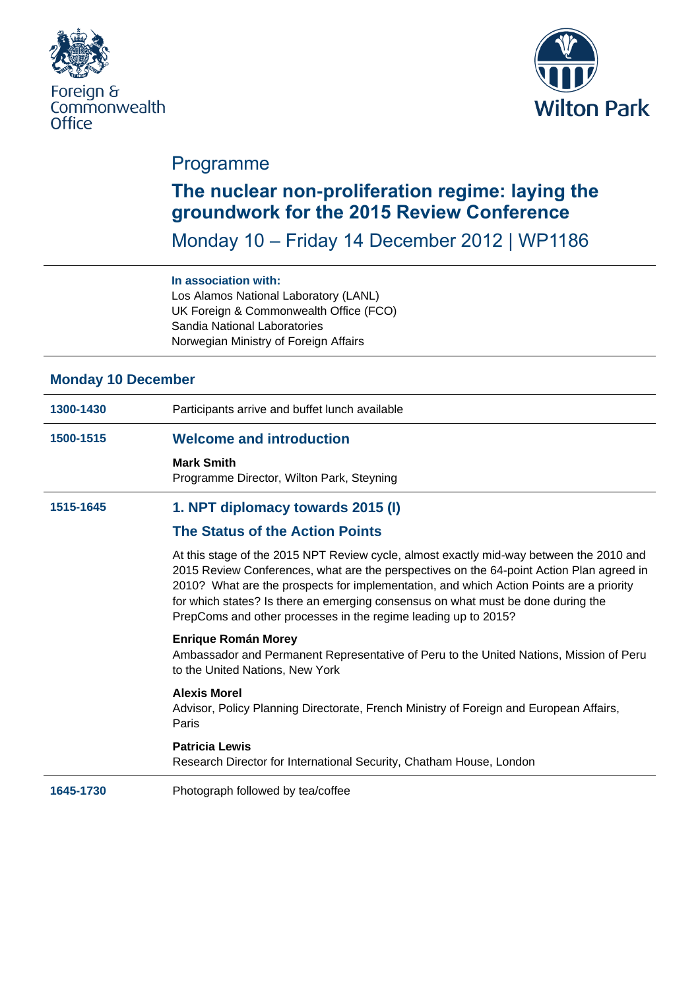



## Programme

# **The nuclear non-proliferation regime: laying the groundwork for the 2015 Review Conference**

Monday 10 – Friday 14 December 2012 | WP1186

## **In association with:**

Los Alamos National Laboratory (LANL) UK Foreign & Commonwealth Office (FCO) Sandia National Laboratories Norwegian Ministry of Foreign Affairs

## **Monday 10 December**

- **1300-1430** Participants arrive and buffet lunch available **1500-1515 Welcome and introduction Mark Smith** Programme Director, Wilton Park, Steyning **1515-1645 1. NPT diplomacy towards 2015 (I) The Status of the Action Points** At this stage of the 2015 NPT Review cycle, almost exactly mid-way between the 2010 and 2015 Review Conferences, what are the perspectives on the 64-point Action Plan agreed in 2010? What are the prospects for implementation, and which Action Points are a priority for which states? Is there an emerging consensus on what must be done during the PrepComs and other processes in the regime leading up to 2015? **Enrique Román Morey** Ambassador and Permanent Representative of Peru to the United Nations, Mission of Peru to the United Nations, New York **Alexis Morel** Advisor, Policy Planning Directorate, French Ministry of Foreign and European Affairs, Paris **Patricia Lewis** Research Director for International Security, Chatham House, London
- **1645-1730** Photograph followed by tea/coffee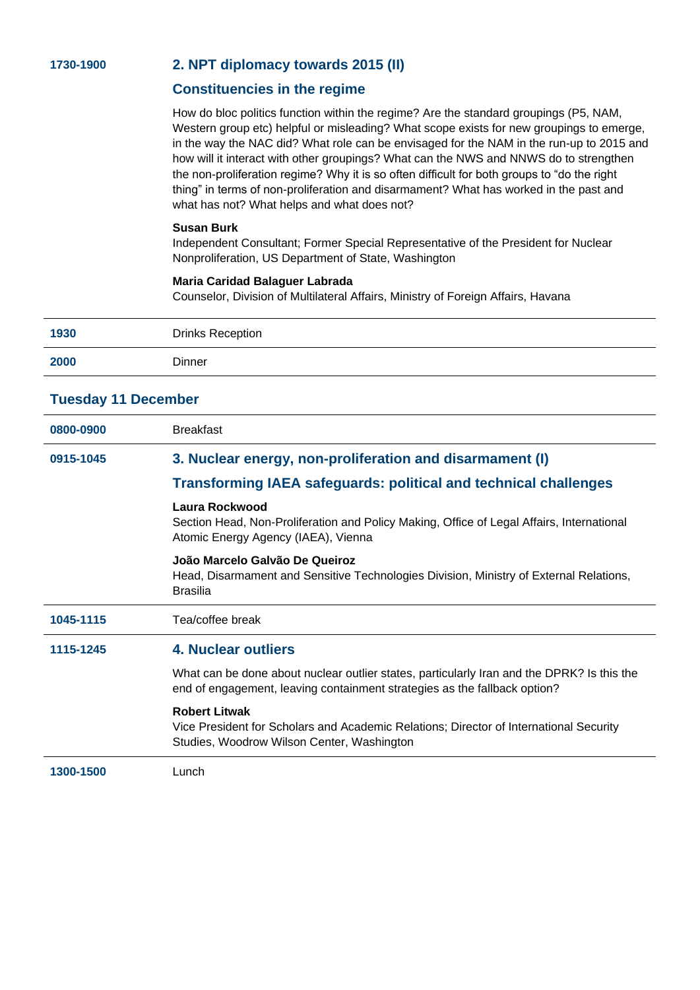## **1730-1900 2. NPT diplomacy towards 2015 (II)**

## **Constituencies in the regime**

How do bloc politics function within the regime? Are the standard groupings (P5, NAM, Western group etc) helpful or misleading? What scope exists for new groupings to emerge, in the way the NAC did? What role can be envisaged for the NAM in the run-up to 2015 and how will it interact with other groupings? What can the NWS and NNWS do to strengthen the non-proliferation regime? Why it is so often difficult for both groups to "do the right thing" in terms of non-proliferation and disarmament? What has worked in the past and what has not? What helps and what does not?

#### **Susan Burk**

Independent Consultant; Former Special Representative of the President for Nuclear Nonproliferation, US Department of State, Washington

#### **Maria Caridad Balaguer Labrada**

Counselor, Division of Multilateral Affairs, Ministry of Foreign Affairs, Havana

| 1930                       | <b>Drinks Reception</b>                                                                                                                                                 |
|----------------------------|-------------------------------------------------------------------------------------------------------------------------------------------------------------------------|
| 2000                       | Dinner                                                                                                                                                                  |
| <b>Tuesday 11 December</b> |                                                                                                                                                                         |
| 0800-0900                  | <b>Breakfast</b>                                                                                                                                                        |
| 0915-1045                  | 3. Nuclear energy, non-proliferation and disarmament (I)                                                                                                                |
|                            | <b>Transforming IAEA safeguards: political and technical challenges</b>                                                                                                 |
|                            | Laura Rockwood<br>Section Head, Non-Proliferation and Policy Making, Office of Legal Affairs, International<br>Atomic Energy Agency (IAEA), Vienna                      |
|                            | João Marcelo Galvão De Queiroz<br>Head, Disarmament and Sensitive Technologies Division, Ministry of External Relations,<br><b>Brasilia</b>                             |
| 1045-1115                  | Tea/coffee break                                                                                                                                                        |
| 1115-1245                  | <b>4. Nuclear outliers</b>                                                                                                                                              |
|                            | What can be done about nuclear outlier states, particularly Iran and the DPRK? Is this the<br>end of engagement, leaving containment strategies as the fallback option? |
|                            |                                                                                                                                                                         |
|                            | <b>Robert Litwak</b><br>Vice President for Scholars and Academic Relations; Director of International Security<br>Studies, Woodrow Wilson Center, Washington            |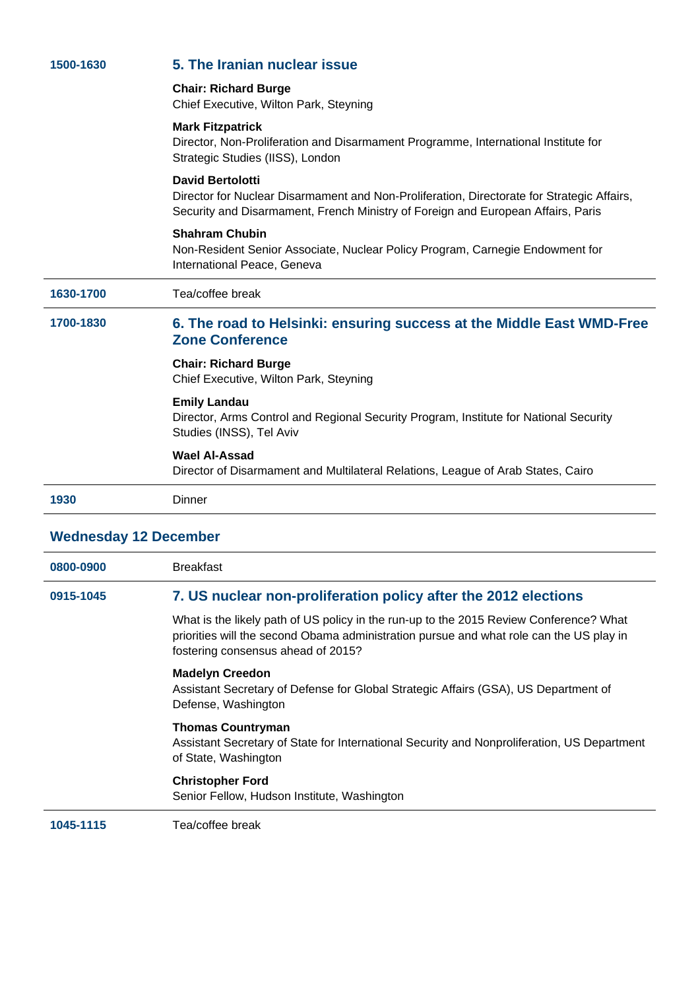| 1500-1630 | 5. The Iranian nuclear issue                                                                                                                                                                              |
|-----------|-----------------------------------------------------------------------------------------------------------------------------------------------------------------------------------------------------------|
|           | <b>Chair: Richard Burge</b><br>Chief Executive, Wilton Park, Steyning                                                                                                                                     |
|           | <b>Mark Fitzpatrick</b><br>Director, Non-Proliferation and Disarmament Programme, International Institute for<br>Strategic Studies (IISS), London                                                         |
|           | <b>David Bertolotti</b><br>Director for Nuclear Disarmament and Non-Proliferation, Directorate for Strategic Affairs,<br>Security and Disarmament, French Ministry of Foreign and European Affairs, Paris |
|           | <b>Shahram Chubin</b><br>Non-Resident Senior Associate, Nuclear Policy Program, Carnegie Endowment for<br>International Peace, Geneva                                                                     |
| 1630-1700 | Tea/coffee break                                                                                                                                                                                          |
| 1700-1830 | 6. The road to Helsinki: ensuring success at the Middle East WMD-Free<br><b>Zone Conference</b>                                                                                                           |
|           | <b>Chair: Richard Burge</b><br>Chief Executive, Wilton Park, Steyning                                                                                                                                     |
|           | <b>Emily Landau</b><br>Director, Arms Control and Regional Security Program, Institute for National Security<br>Studies (INSS), Tel Aviv                                                                  |
|           | <b>Wael Al-Assad</b><br>Director of Disarmament and Multilateral Relations, League of Arab States, Cairo                                                                                                  |
|           |                                                                                                                                                                                                           |

# **Wednesday 12 December**

| 0800-0900 | <b>Breakfast</b>                                                                                                                                                                                                        |
|-----------|-------------------------------------------------------------------------------------------------------------------------------------------------------------------------------------------------------------------------|
| 0915-1045 | 7. US nuclear non-proliferation policy after the 2012 elections                                                                                                                                                         |
|           | What is the likely path of US policy in the run-up to the 2015 Review Conference? What<br>priorities will the second Obama administration pursue and what role can the US play in<br>fostering consensus ahead of 2015? |
|           | <b>Madelyn Creedon</b><br>Assistant Secretary of Defense for Global Strategic Affairs (GSA), US Department of<br>Defense, Washington                                                                                    |
|           | <b>Thomas Countryman</b><br>Assistant Secretary of State for International Security and Nonproliferation, US Department<br>of State, Washington                                                                         |
|           | <b>Christopher Ford</b><br>Senior Fellow, Hudson Institute, Washington                                                                                                                                                  |
| 1045-1115 | Tea/coffee break                                                                                                                                                                                                        |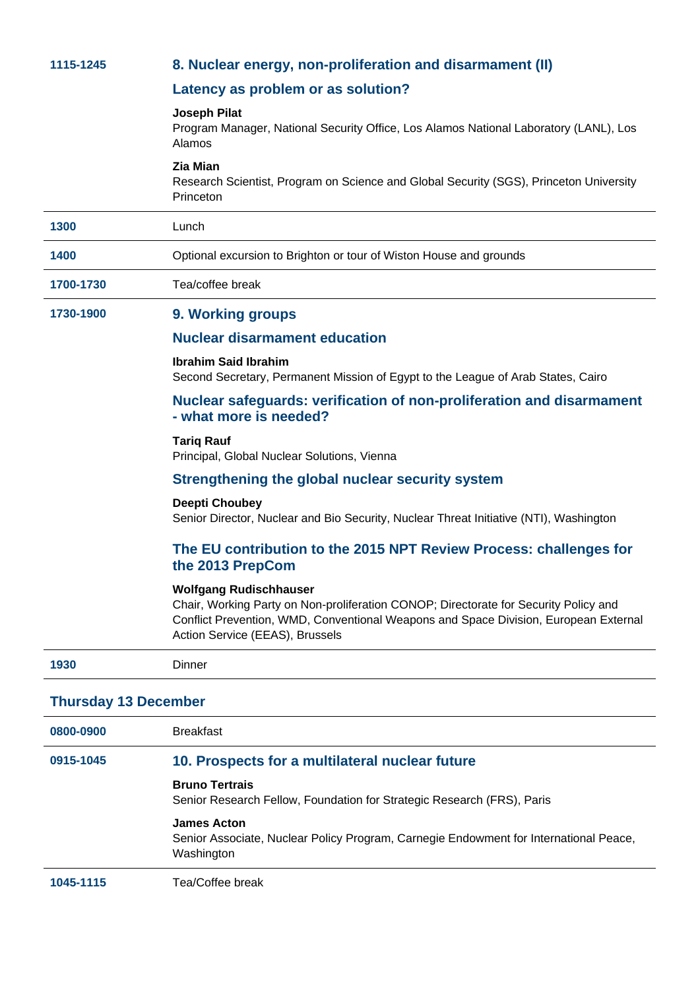| 1115-1245 | 8. Nuclear energy, non-proliferation and disarmament (II)                                                                                                                                                                                        |
|-----------|--------------------------------------------------------------------------------------------------------------------------------------------------------------------------------------------------------------------------------------------------|
|           | Latency as problem or as solution?                                                                                                                                                                                                               |
|           | <b>Joseph Pilat</b><br>Program Manager, National Security Office, Los Alamos National Laboratory (LANL), Los<br>Alamos                                                                                                                           |
|           | <b>Zia Mian</b><br>Research Scientist, Program on Science and Global Security (SGS), Princeton University<br>Princeton                                                                                                                           |
| 1300      | Lunch                                                                                                                                                                                                                                            |
| 1400      | Optional excursion to Brighton or tour of Wiston House and grounds                                                                                                                                                                               |
| 1700-1730 | Tea/coffee break                                                                                                                                                                                                                                 |
| 1730-1900 | 9. Working groups                                                                                                                                                                                                                                |
|           | <b>Nuclear disarmament education</b>                                                                                                                                                                                                             |
|           | <b>Ibrahim Said Ibrahim</b><br>Second Secretary, Permanent Mission of Egypt to the League of Arab States, Cairo                                                                                                                                  |
|           | Nuclear safeguards: verification of non-proliferation and disarmament<br>- what more is needed?                                                                                                                                                  |
|           | <b>Tarig Rauf</b><br>Principal, Global Nuclear Solutions, Vienna                                                                                                                                                                                 |
|           | Strengthening the global nuclear security system                                                                                                                                                                                                 |
|           | <b>Deepti Choubey</b><br>Senior Director, Nuclear and Bio Security, Nuclear Threat Initiative (NTI), Washington                                                                                                                                  |
|           | The EU contribution to the 2015 NPT Review Process: challenges for<br>the 2013 PrepCom                                                                                                                                                           |
|           | <b>Wolfgang Rudischhauser</b><br>Chair, Working Party on Non-proliferation CONOP; Directorate for Security Policy and<br>Conflict Prevention, WMD, Conventional Weapons and Space Division, European External<br>Action Service (EEAS), Brussels |
| 1930      | Dinner                                                                                                                                                                                                                                           |

## **Thursday 13 December**

| 0800-0900 | <b>Breakfast</b>                                                                                                          |
|-----------|---------------------------------------------------------------------------------------------------------------------------|
| 0915-1045 | 10. Prospects for a multilateral nuclear future                                                                           |
|           | <b>Bruno Tertrais</b><br>Senior Research Fellow, Foundation for Strategic Research (FRS), Paris                           |
|           | <b>James Acton</b><br>Senior Associate, Nuclear Policy Program, Carnegie Endowment for International Peace,<br>Washington |
| 1045-1115 | Tea/Coffee break                                                                                                          |